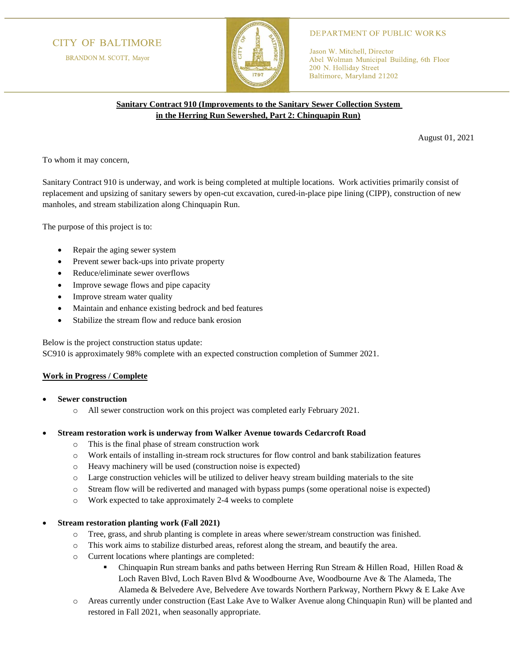# **CITY OF BALTIMORE**

BRANDON M. SCOTT, Mayor



### **DEPARTMENT OF PUBLIC WORKS**

Jason W. Mitchell, Director Abel Wolman Municipal Building, 6th Floor 200 N. Holliday Street Baltimore, Maryland 21202

## **Sanitary Contract 910 (Improvements to the Sanitary Sewer Collection System in the Herring Run Sewershed, Part 2: Chinquapin Run)**

August 01, 2021

To whom it may concern,

Sanitary Contract 910 is underway, and work is being completed at multiple locations. Work activities primarily consist of replacement and upsizing of sanitary sewers by open-cut excavation, cured-in-place pipe lining (CIPP), construction of new manholes, and stream stabilization along Chinquapin Run.

The purpose of this project is to:

- Repair the aging sewer system
- Prevent sewer back-ups into private property
- Reduce/eliminate sewer overflows
- Improve sewage flows and pipe capacity
- Improve stream water quality
- Maintain and enhance existing bedrock and bed features
- Stabilize the stream flow and reduce bank erosion

Below is the project construction status update:

SC910 is approximately 98% complete with an expected construction completion of Summer 2021.

### **Work in Progress / Complete**

- **Sewer construction**
	- o All sewer construction work on this project was completed early February 2021.
- **Stream restoration work is underway from Walker Avenue towards Cedarcroft Road**
	- o This is the final phase of stream construction work
	- o Work entails of installing in-stream rock structures for flow control and bank stabilization features
	- o Heavy machinery will be used (construction noise is expected)
	- o Large construction vehicles will be utilized to deliver heavy stream building materials to the site
	- o Stream flow will be rediverted and managed with bypass pumps (some operational noise is expected)
	- o Work expected to take approximately 2-4 weeks to complete

### • **Stream restoration planting work (Fall 2021)**

- o Tree, grass, and shrub planting is complete in areas where sewer/stream construction was finished.
- o This work aims to stabilize disturbed areas, reforest along the stream, and beautify the area.
- o Current locations where plantings are completed:
	- **•** Chinquapin Run stream banks and paths between Herring Run Stream & Hillen Road, Hillen Road & Loch Raven Blvd, Loch Raven Blvd & Woodbourne Ave, Woodbourne Ave & The Alameda, The Alameda & Belvedere Ave, Belvedere Ave towards Northern Parkway, Northern Pkwy & E Lake Ave
- o Areas currently under construction (East Lake Ave to Walker Avenue along Chinquapin Run) will be planted and restored in Fall 2021, when seasonally appropriate.